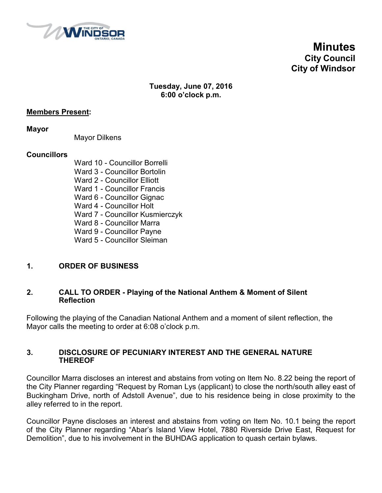

# **Minutes City Council City of Windsor**

#### **Tuesday, June 07, 2016 6:00 o'clock p.m.**

#### **Members Present:**

**Mayor**

Mayor Dilkens

#### **Councillors**

Ward 10 - Councillor Borrelli Ward 3 - Councillor Bortolin Ward 2 - Councillor Elliott Ward 1 - Councillor Francis Ward 6 - Councillor Gignac Ward 4 - Councillor Holt Ward 7 - Councillor Kusmierczyk Ward 8 - Councillor Marra Ward 9 - Councillor Payne Ward 5 - Councillor Sleiman

#### **1. ORDER OF BUSINESS**

#### **2. CALL TO ORDER - Playing of the National Anthem & Moment of Silent Reflection**

Following the playing of the Canadian National Anthem and a moment of silent reflection, the Mayor calls the meeting to order at 6:08 o'clock p.m.

#### **3. DISCLOSURE OF PECUNIARY INTEREST AND THE GENERAL NATURE THEREOF**

Councillor Marra discloses an interest and abstains from voting on Item No. 8.22 being the report of the City Planner regarding "Request by Roman Lys (applicant) to close the north/south alley east of Buckingham Drive, north of Adstoll Avenue", due to his residence being in close proximity to the alley referred to in the report.

Councillor Payne discloses an interest and abstains from voting on Item No. 10.1 being the report of the City Planner regarding "Abar's Island View Hotel, 7880 Riverside Drive East, Request for Demolition", due to his involvement in the BUHDAG application to quash certain bylaws.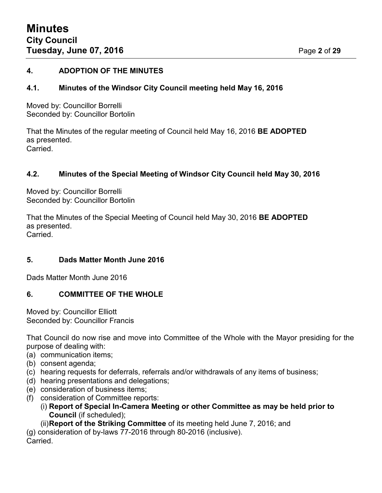#### **4. ADOPTION OF THE MINUTES**

#### **4.1. Minutes of the Windsor City Council meeting held May 16, 2016**

Moved by: Councillor Borrelli Seconded by: Councillor Bortolin

That the Minutes of the regular meeting of Council held May 16, 2016 **BE ADOPTED** as presented. Carried.

#### **4.2. Minutes of the Special Meeting of Windsor City Council held May 30, 2016**

Moved by: Councillor Borrelli Seconded by: Councillor Bortolin

That the Minutes of the Special Meeting of Council held May 30, 2016 **BE ADOPTED** as presented. Carried.

#### **5. Dads Matter Month June 2016**

Dads Matter Month June 2016

#### **6. COMMITTEE OF THE WHOLE**

Moved by: Councillor Elliott Seconded by: Councillor Francis

That Council do now rise and move into Committee of the Whole with the Mayor presiding for the purpose of dealing with:

- (a) communication items;
- (b) consent agenda;
- (c) hearing requests for deferrals, referrals and/or withdrawals of any items of business;
- (d) hearing presentations and delegations;
- (e) consideration of business items;
- (f) consideration of Committee reports:
	- (i) **Report of Special In-Camera Meeting or other Committee as may be held prior to Council** (if scheduled);

(ii)**Report of the Striking Committee** of its meeting held June 7, 2016; and

(g) consideration of by-laws 77-2016 through 80-2016 (inclusive). Carried.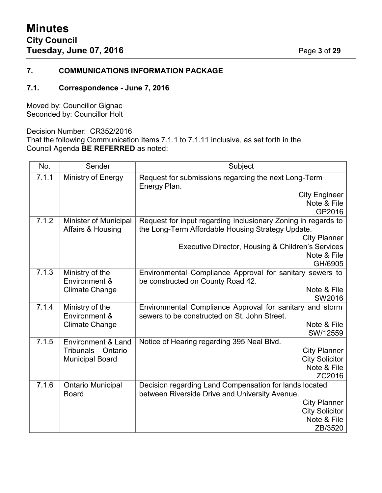#### **7. COMMUNICATIONS INFORMATION PACKAGE**

#### **7.1. Correspondence - June 7, 2016**

Moved by: Councillor Gignac Seconded by: Councillor Holt

Decision Number: CR352/2016

That the following Communication Items 7.1.1 to 7.1.11 inclusive, as set forth in the Council Agenda **BE REFERRED** as noted:

| No.   | Sender                        | Subject                                                              |  |
|-------|-------------------------------|----------------------------------------------------------------------|--|
| 7.1.1 | Ministry of Energy            | Request for submissions regarding the next Long-Term<br>Energy Plan. |  |
|       |                               | <b>City Engineer</b>                                                 |  |
|       |                               | Note & File                                                          |  |
|       |                               | GP2016                                                               |  |
| 7.1.2 | <b>Minister of Municipal</b>  | Request for input regarding Inclusionary Zoning in regards to        |  |
|       | Affairs & Housing             | the Long-Term Affordable Housing Strategy Update.                    |  |
|       |                               | <b>City Planner</b>                                                  |  |
|       |                               | Executive Director, Housing & Children's Services<br>Note & File     |  |
|       |                               | GH/6905                                                              |  |
| 7.1.3 | Ministry of the               | Environmental Compliance Approval for sanitary sewers to             |  |
|       | Environment &                 | be constructed on County Road 42.                                    |  |
|       | <b>Climate Change</b>         | Note & File                                                          |  |
|       |                               | SW2016                                                               |  |
| 7.1.4 | Ministry of the               | Environmental Compliance Approval for sanitary and storm             |  |
|       | Environment &                 | sewers to be constructed on St. John Street.                         |  |
|       | <b>Climate Change</b>         | Note & File                                                          |  |
|       |                               | SW/12559                                                             |  |
| 7.1.5 | <b>Environment &amp; Land</b> | Notice of Hearing regarding 395 Neal Blvd.                           |  |
|       | Tribunals - Ontario           | <b>City Planner</b>                                                  |  |
|       | <b>Municipal Board</b>        | <b>City Solicitor</b><br>Note & File                                 |  |
|       |                               | ZC2016                                                               |  |
| 7.1.6 | <b>Ontario Municipal</b>      | Decision regarding Land Compensation for lands located               |  |
|       | <b>Board</b>                  | between Riverside Drive and University Avenue.                       |  |
|       |                               | <b>City Planner</b>                                                  |  |
|       |                               | <b>City Solicitor</b>                                                |  |
|       |                               | Note & File                                                          |  |
|       |                               | ZB/3520                                                              |  |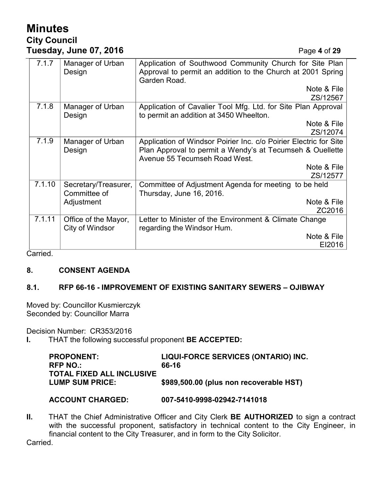# **Minutes City Council Tuesday, June 07, 2016** Page **4** of **29**

| 7.1.7  | Manager of Urban<br>Design              | Application of Southwood Community Church for Site Plan<br>Approval to permit an addition to the Church at 2001 Spring<br>Garden Road.                          |  |
|--------|-----------------------------------------|-----------------------------------------------------------------------------------------------------------------------------------------------------------------|--|
|        |                                         | Note & File                                                                                                                                                     |  |
|        |                                         | ZS/12567                                                                                                                                                        |  |
| 7.1.8  | Manager of Urban<br>Design              | Application of Cavalier Tool Mfg. Ltd. for Site Plan Approval<br>to permit an addition at 3450 Wheelton.                                                        |  |
|        |                                         | Note & File                                                                                                                                                     |  |
|        |                                         | ZS/12074                                                                                                                                                        |  |
| 7.1.9  | Manager of Urban<br>Design              | Application of Windsor Poirier Inc. c/o Poirier Electric for Site<br>Plan Approval to permit a Wendy's at Tecumseh & Ouellette<br>Avenue 55 Tecumseh Road West. |  |
|        |                                         | Note & File                                                                                                                                                     |  |
|        |                                         | ZS/12577                                                                                                                                                        |  |
| 7.1.10 | Secretary/Treasurer,<br>Committee of    | Committee of Adjustment Agenda for meeting to be held<br>Thursday, June 16, 2016.                                                                               |  |
|        | Adjustment                              | Note & File                                                                                                                                                     |  |
|        |                                         | ZC2016                                                                                                                                                          |  |
| 7.1.11 | Office of the Mayor,<br>City of Windsor | Letter to Minister of the Environment & Climate Change<br>regarding the Windsor Hum.                                                                            |  |
|        |                                         | Note & File                                                                                                                                                     |  |
|        |                                         | EI2016                                                                                                                                                          |  |

Carried.

#### **8. CONSENT AGENDA**

#### **8.1. RFP 66-16 - IMPROVEMENT OF EXISTING SANITARY SEWERS – OJIBWAY**

Moved by: Councillor Kusmierczyk Seconded by: Councillor Marra

Decision Number: CR353/2016

**I.** THAT the following successful proponent **BE ACCEPTED:**

| <b>PROPONENT:</b><br>RFP NO.: | LIQUI-FORCE SERVICES (ONTARIO) INC.<br>66-16 |
|-------------------------------|----------------------------------------------|
| TOTAL FIXED ALL INCLUSIVE     |                                              |
| <b>LUMP SUM PRICE:</b>        | \$989,500.00 (plus non recoverable HST)      |

#### **ACCOUNT CHARGED: 007-5410-9998-02942-7141018**

**II.** THAT the Chief Administrative Officer and City Clerk **BE AUTHORIZED** to sign a contract with the successful proponent, satisfactory in technical content to the City Engineer, in financial content to the City Treasurer, and in form to the City Solicitor.

Carried.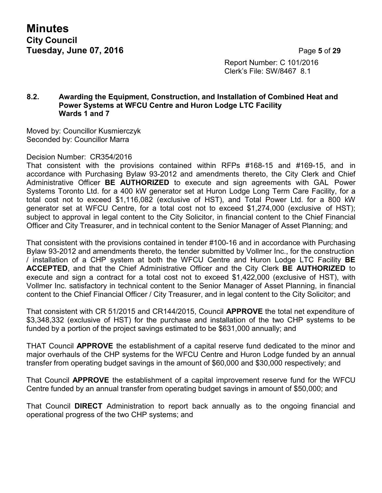**Minutes City Council Tuesday, June 07, 2016** Page **5** of **29**

Report Number: C 101/2016 Clerk's File: SW/8467 8.1

#### **8.2. Awarding the Equipment, Construction, and Installation of Combined Heat and Power Systems at WFCU Centre and Huron Lodge LTC Facility Wards 1 and 7**

Moved by: Councillor Kusmierczyk Seconded by: Councillor Marra

#### Decision Number: CR354/2016

That consistent with the provisions contained within RFPs  $\#168-15$  and  $\#169-15$ , and in accordance with Purchasing Bylaw 93-2012 and amendments thereto, the City Clerk and Chief Administrative Officer **BE AUTHORIZED** to execute and sign agreements with GAL Power Systems Toronto Ltd. for a 400 kW generator set at Huron Lodge Long Term Care Facility, for a total cost not to exceed \$1,116,082 (exclusive of HST), and Total Power Ltd. for a 800 kW generator set at WFCU Centre, for a total cost not to exceed \$1,274,000 (exclusive of HST); subject to approval in legal content to the City Solicitor, in financial content to the Chief Financial Officer and City Treasurer, and in technical content to the Senior Manager of Asset Planning; and

That consistent with the provisions contained in tender #100-16 and in accordance with Purchasing Bylaw 93-2012 and amendments thereto, the tender submitted by Vollmer Inc., for the construction / installation of a CHP system at both the WFCU Centre and Huron Lodge LTC Facility **BE ACCEPTED**, and that the Chief Administrative Officer and the City Clerk **BE AUTHORIZED** to execute and sign a contract for a total cost not to exceed \$1,422,000 (exclusive of HST), with Vollmer Inc. satisfactory in technical content to the Senior Manager of Asset Planning, in financial content to the Chief Financial Officer / City Treasurer, and in legal content to the City Solicitor; and

That consistent with CR 51/2015 and CR144/2015, Council **APPROVE** the total net expenditure of \$3,348,332 (exclusive of HST) for the purchase and installation of the two CHP systems to be funded by a portion of the project savings estimated to be \$631,000 annually; and

THAT Council **APPROVE** the establishment of a capital reserve fund dedicated to the minor and major overhauls of the CHP systems for the WFCU Centre and Huron Lodge funded by an annual transfer from operating budget savings in the amount of \$60,000 and \$30,000 respectively; and

That Council **APPROVE** the establishment of a capital improvement reserve fund for the WFCU Centre funded by an annual transfer from operating budget savings in amount of \$50,000; and

That Council **DIRECT** Administration to report back annually as to the ongoing financial and operational progress of the two CHP systems; and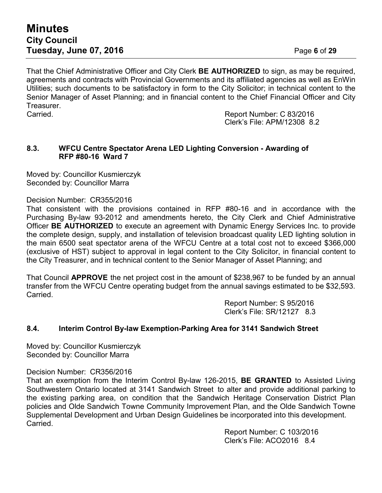That the Chief Administrative Officer and City Clerk **BE AUTHORIZED** to sign, as may be required, agreements and contracts with Provincial Governments and its affiliated agencies as well as EnWin Utilities; such documents to be satisfactory in form to the City Solicitor; in technical content to the Senior Manager of Asset Planning; and in financial content to the Chief Financial Officer and City Treasurer.

Carried. Report Number: C 83/2016 Clerk's File: APM/12308 8.2

#### **8.3. WFCU Centre Spectator Arena LED Lighting Conversion - Awarding of RFP #80-16 Ward 7**

Moved by: Councillor Kusmierczyk Seconded by: Councillor Marra

Decision Number: CR355/2016

That consistent with the provisions contained in RFP #80-16 and in accordance with the Purchasing By-law 93-2012 and amendments hereto, the City Clerk and Chief Administrative Officer **BE AUTHORIZED** to execute an agreement with Dynamic Energy Services Inc. to provide the complete design, supply, and installation of television broadcast quality LED lighting solution in the main 6500 seat spectator arena of the WFCU Centre at a total cost not to exceed \$366,000 (exclusive of HST) subject to approval in legal content to the City Solicitor, in financial content to the City Treasurer, and in technical content to the Senior Manager of Asset Planning; and

That Council **APPROVE** the net project cost in the amount of \$238,967 to be funded by an annual transfer from the WFCU Centre operating budget from the annual savings estimated to be \$32,593. Carried.

> Report Number: S 95/2016 Clerk's File: SR/12127 8.3

#### **8.4. Interim Control By-law Exemption-Parking Area for 3141 Sandwich Street**

Moved by: Councillor Kusmierczyk Seconded by: Councillor Marra

#### Decision Number: CR356/2016

That an exemption from the Interim Control By-law 126-2015, **BE GRANTED** to Assisted Living Southwestern Ontario located at 3141 Sandwich Street to alter and provide additional parking to the existing parking area, on condition that the Sandwich Heritage Conservation District Plan policies and Olde Sandwich Towne Community Improvement Plan, and the Olde Sandwich Towne Supplemental Development and Urban Design Guidelines be incorporated into this development. Carried.

> Report Number: C 103/2016 Clerk's File: ACO2016 8.4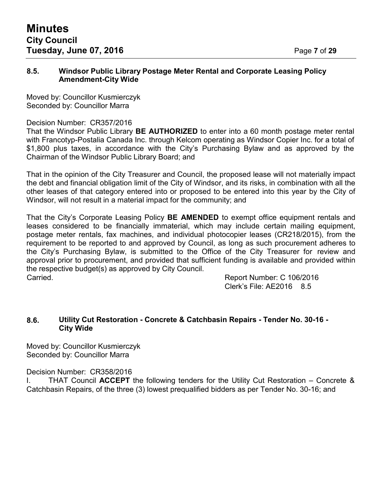#### **8.5. Windsor Public Library Postage Meter Rental and Corporate Leasing Policy Amendment-City Wide**

Moved by: Councillor Kusmierczyk Seconded by: Councillor Marra

#### Decision Number: CR357/2016

That the Windsor Public Library **BE AUTHORIZED** to enter into a 60 month postage meter rental with Francotyp-Postalia Canada Inc. through Kelcom operating as Windsor Copier Inc. for a total of \$1,800 plus taxes, in accordance with the City's Purchasing Bylaw and as approved by the Chairman of the Windsor Public Library Board; and

That in the opinion of the City Treasurer and Council, the proposed lease will not materially impact the debt and financial obligation limit of the City of Windsor, and its risks, in combination with all the other leases of that category entered into or proposed to be entered into this year by the City of Windsor, will not result in a material impact for the community; and

That the City's Corporate Leasing Policy **BE AMENDED** to exempt office equipment rentals and leases considered to be financially immaterial, which may include certain mailing equipment, postage meter rentals, fax machines, and individual photocopier leases (CR218/2015), from the requirement to be reported to and approved by Council, as long as such procurement adheres to the City's Purchasing Bylaw, is submitted to the Office of the City Treasurer for review and approval prior to procurement, and provided that sufficient funding is available and provided within the respective budget(s) as approved by City Council. Carried. Report Number: C 106/2016

Clerk's File: AE2016 8.5

#### **8.6. Utility Cut Restoration - Concrete & Catchbasin Repairs - Tender No. 30-16 - City Wide**

Moved by: Councillor Kusmierczyk Seconded by: Councillor Marra

Decision Number: CR358/2016

I. THAT Council **ACCEPT** the following tenders for the Utility Cut Restoration – Concrete & Catchbasin Repairs, of the three (3) lowest prequalified bidders as per Tender No. 30-16; and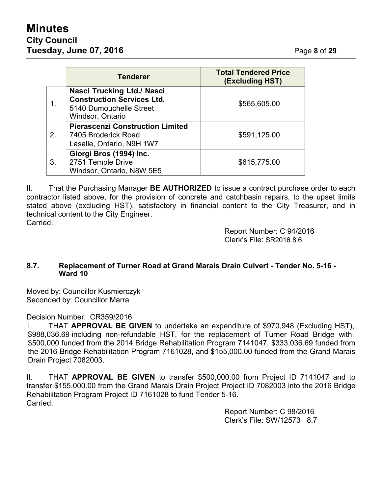# **Minutes City Council Tuesday, June 07, 2016** Page **8** of **29**

|    | <b>Tenderer</b>                                                                                                | <b>Total Tendered Price</b><br>(Excluding HST) |
|----|----------------------------------------------------------------------------------------------------------------|------------------------------------------------|
|    | Nasci Trucking Ltd./ Nasci<br><b>Construction Services Ltd.</b><br>5140 Dumouchelle Street<br>Windsor, Ontario | \$565,605.00                                   |
| 2. | <b>Pierascenzi Construction Limited</b><br>7405 Broderick Road<br>Lasalle, Ontario, N9H 1W7                    | \$591,125.00                                   |
| 3. | Giorgi Bros (1994) Inc.<br>2751 Temple Drive<br>Windsor, Ontario, N8W 5E5                                      | \$615,775.00                                   |

II. That the Purchasing Manager **BE AUTHORIZED** to issue a contract purchase order to each contractor listed above, for the provision of concrete and catchbasin repairs, to the upset limits stated above (excluding HST), satisfactory in financial content to the City Treasurer, and in technical content to the City Engineer. Carried.

> Report Number: C 94/2016 Clerk's File: SR2016 8.6

#### **8.7. Replacement of Turner Road at Grand Marais Drain Culvert - Tender No. 5-16 - Ward 10**

Moved by: Councillor Kusmierczyk Seconded by: Councillor Marra

Decision Number: CR359/2016

I. THAT **APPROVAL BE GIVEN** to undertake an expenditure of \$970,948 (Excluding HST), \$988,036.69 including non-refundable HST, for the replacement of Turner Road Bridge with \$500,000 funded from the 2014 Bridge Rehabilitation Program 7141047, \$333,036.69 funded from the 2016 Bridge Rehabilitation Program 7161028, and \$155,000.00 funded from the Grand Marais Drain Project 7082003.

II. THAT **APPROVAL BE GIVEN** to transfer \$500,000.00 from Project ID 7141047 and to transfer \$155,000.00 from the Grand Marais Drain Project Project ID 7082003 into the 2016 Bridge Rehabilitation Program Project ID 7161028 to fund Tender 5-16. Carried.

> Report Number: C 98/2016 Clerk's File: SW/12573 8.7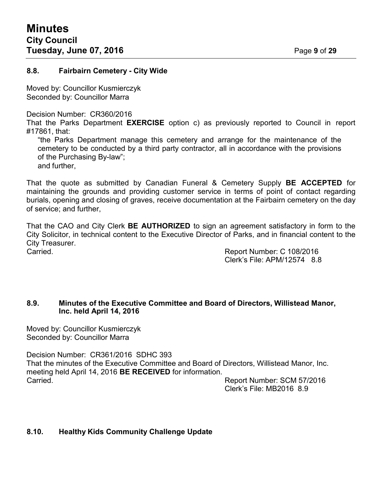#### **8.8. Fairbairn Cemetery - City Wide**

Moved by: Councillor Kusmierczyk Seconded by: Councillor Marra

Decision Number: CR360/2016

That the Parks Department **EXERCISE** option c) as previously reported to Council in report #17861, that:

"the Parks Department manage this cemetery and arrange for the maintenance of the cemetery to be conducted by a third party contractor, all in accordance with the provisions of the Purchasing By-law";

and further,

That the quote as submitted by Canadian Funeral & Cemetery Supply **BE ACCEPTED** for maintaining the grounds and providing customer service in terms of point of contact regarding burials, opening and closing of graves, receive documentation at the Fairbairn cemetery on the day of service; and further,

That the CAO and City Clerk **BE AUTHORIZED** to sign an agreement satisfactory in form to the City Solicitor, in technical content to the Executive Director of Parks, and in financial content to the City Treasurer.

Carried. Report Number: C 108/2016 Clerk's File: APM/12574 8.8

#### **8.9. Minutes of the Executive Committee and Board of Directors, Willistead Manor, Inc. held April 14, 2016**

Moved by: Councillor Kusmierczyk Seconded by: Councillor Marra

Decision Number: CR361/2016 SDHC 393 That the minutes of the Executive Committee and Board of Directors, Willistead Manor, Inc. meeting held April 14, 2016 **BE RECEIVED** for information. Carried. Report Number: SCM 57/2016

Clerk's File: MB2016 8.9

#### **8.10. Healthy Kids Community Challenge Update**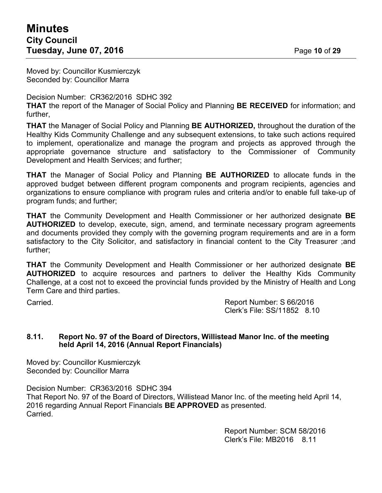Moved by: Councillor Kusmierczyk Seconded by: Councillor Marra

Decision Number: CR362/2016 SDHC 392

**THAT** the report of the Manager of Social Policy and Planning **BE RECEIVED** for information; and further,

**THAT** the Manager of Social Policy and Planning **BE AUTHORIZED,** throughout the duration of the Healthy Kids Community Challenge and any subsequent extensions, to take such actions required to implement, operationalize and manage the program and projects as approved through the appropriate governance structure and satisfactory to the Commissioner of Community Development and Health Services; and further;

**THAT** the Manager of Social Policy and Planning **BE AUTHORIZED** to allocate funds in the approved budget between different program components and program recipients, agencies and organizations to ensure compliance with program rules and criteria and/or to enable full take-up of program funds; and further;

**THAT** the Community Development and Health Commissioner or her authorized designate **BE AUTHORIZED** to develop, execute, sign, amend, and terminate necessary program agreements and documents provided they comply with the governing program requirements and are in a form satisfactory to the City Solicitor, and satisfactory in financial content to the City Treasurer ;and further;

**THAT** the Community Development and Health Commissioner or her authorized designate **BE AUTHORIZED** to acquire resources and partners to deliver the Healthy Kids Community Challenge, at a cost not to exceed the provincial funds provided by the Ministry of Health and Long Term Care and third parties.

Carried. Report Number: S 66/2016 Clerk's File: SS/11852 8.10

#### **8.11. Report No. 97 of the Board of Directors, Willistead Manor Inc. of the meeting held April 14, 2016 (Annual Report Financials)**

Moved by: Councillor Kusmierczyk Seconded by: Councillor Marra

Decision Number: CR363/2016 SDHC 394 That Report No. 97 of the Board of Directors, Willistead Manor Inc. of the meeting held April 14, 2016 regarding Annual Report Financials **BE APPROVED** as presented. Carried.

> Report Number: SCM 58/2016 Clerk's File: MB2016 8.11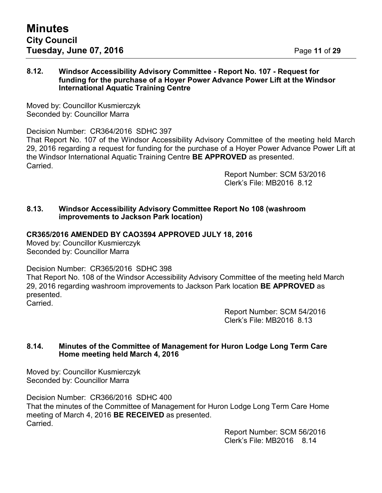#### **8.12. Windsor Accessibility Advisory Committee - Report No. 107 - Request for funding for the purchase of a Hoyer Power Advance Power Lift at the Windsor International Aquatic Training Centre**

Moved by: Councillor Kusmierczyk Seconded by: Councillor Marra

Decision Number: CR364/2016 SDHC 397 That Report No. 107 of the Windsor Accessibility Advisory Committee of the meeting held March 29, 2016 regarding a request for funding for the purchase of a Hoyer Power Advance Power Lift at the Windsor International Aquatic Training Centre **BE APPROVED** as presented. Carried.

> Report Number: SCM 53/2016 Clerk's File: MB2016 8.12

#### **8.13. Windsor Accessibility Advisory Committee Report No 108 (washroom improvements to Jackson Park location)**

#### **CR365/2016 AMENDED BY CAO3594 APPROVED JULY 18, 2016**

Moved by: Councillor Kusmierczyk Seconded by: Councillor Marra

Decision Number: CR365/2016 SDHC 398

That Report No. 108 of the Windsor Accessibility Advisory Committee of the meeting held March 29, 2016 regarding washroom improvements to Jackson Park location **BE APPROVED** as presented. Carried.

> Report Number: SCM 54/2016 Clerk's File: MB2016 8.13

#### **8.14. Minutes of the Committee of Management for Huron Lodge Long Term Care Home meeting held March 4, 2016**

Moved by: Councillor Kusmierczyk Seconded by: Councillor Marra

Decision Number: CR366/2016 SDHC 400 That the minutes of the Committee of Management for Huron Lodge Long Term Care Home meeting of March 4, 2016 **BE RECEIVED** as presented. Carried.

Report Number: SCM 56/2016 Clerk's File: MB2016 8.14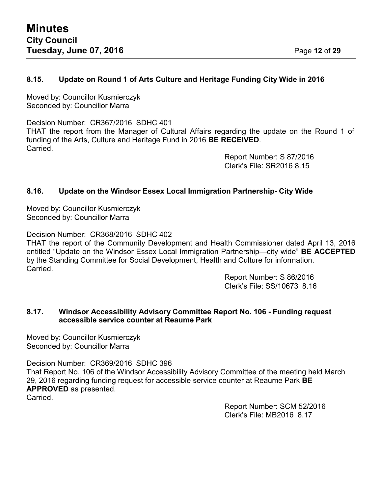#### **8.15. Update on Round 1 of Arts Culture and Heritage Funding City Wide in 2016**

Moved by: Councillor Kusmierczyk Seconded by: Councillor Marra

Decision Number: CR367/2016 SDHC 401 THAT the report from the Manager of Cultural Affairs regarding the update on the Round 1 of funding of the Arts, Culture and Heritage Fund in 2016 **BE RECEIVED**. Carried.

Report Number: S 87/2016 Clerk's File: SR2016 8.15

#### **8.16. Update on the Windsor Essex Local Immigration Partnership- City Wide**

Moved by: Councillor Kusmierczyk Seconded by: Councillor Marra

Decision Number: CR368/2016 SDHC 402

THAT the report of the Community Development and Health Commissioner dated April 13, 2016 entitled "Update on the Windsor Essex Local Immigration Partnership—city wide" **BE ACCEPTED** by the Standing Committee for Social Development, Health and Culture for information. Carried.

> Report Number: S 86/2016 Clerk's File: SS/10673 8.16

#### **8.17. Windsor Accessibility Advisory Committee Report No. 106 - Funding request accessible service counter at Reaume Park**

Moved by: Councillor Kusmierczyk Seconded by: Councillor Marra

Decision Number: CR369/2016 SDHC 396

That Report No. 106 of the Windsor Accessibility Advisory Committee of the meeting held March 29, 2016 regarding funding request for accessible service counter at Reaume Park **BE APPROVED** as presented.

Carried.

Report Number: SCM 52/2016 Clerk's File: MB2016 8.17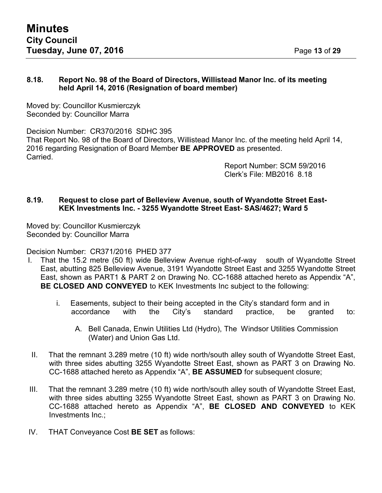#### **8.18. Report No. 98 of the Board of Directors, Willistead Manor Inc. of its meeting held April 14, 2016 (Resignation of board member)**

Moved by: Councillor Kusmierczyk Seconded by: Councillor Marra

Decision Number: CR370/2016 SDHC 395 That Report No. 98 of the Board of Directors, Willistead Manor Inc. of the meeting held April 14, 2016 regarding Resignation of Board Member **BE APPROVED** as presented. Carried.

> Report Number: SCM 59/2016 Clerk's File: MB2016 8.18

#### **8.19. Request to close part of Belleview Avenue, south of Wyandotte Street East-KEK Investments Inc. - 3255 Wyandotte Street East- SAS/4627; Ward 5**

Moved by: Councillor Kusmierczyk Seconded by: Councillor Marra

Decision Number: CR371/2016 PHED 377

- I. That the 15.2 metre (50 ft) wide Belleview Avenue right-of-way south of Wyandotte Street East, abutting 825 Belleview Avenue, 3191 Wyandotte Street East and 3255 Wyandotte Street East, shown as PART1 & PART 2 on Drawing No. CC-1688 attached hereto as Appendix "A", **BE CLOSED AND CONVEYED** to KEK Investments Inc subject to the following:
	- i. Easements, subject to their being accepted in the City's standard form and in accordance with the City's standard practice, be granted to:
		- A. Bell Canada, Enwin Utilities Ltd (Hydro), The Windsor Utilities Commission (Water) and Union Gas Ltd.
- II. That the remnant 3.289 metre (10 ft) wide north/south alley south of Wyandotte Street East, with three sides abutting 3255 Wyandotte Street East, shown as PART 3 on Drawing No. CC-1688 attached hereto as Appendix "A", **BE ASSUMED** for subsequent closure;
- III. That the remnant 3.289 metre (10 ft) wide north/south alley south of Wyandotte Street East, with three sides abutting 3255 Wyandotte Street East, shown as PART 3 on Drawing No. CC-1688 attached hereto as Appendix "A", **BE CLOSED AND CONVEYED** to KEK Investments Inc.;
- IV. THAT Conveyance Cost **BE SET** as follows: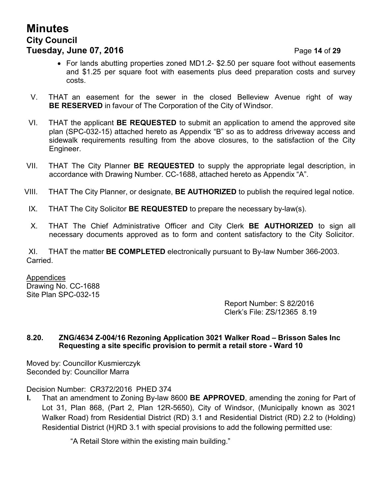# **Minutes City Council Tuesday, June 07, 2016 Page 14 of 29**

- For lands abutting properties zoned MD1.2- \$2.50 per square foot without easements and \$1.25 per square foot with easements plus deed preparation costs and survey costs.
- V. THAT an easement for the sewer in the closed Belleview Avenue right of way **BE RESERVED** in favour of The Corporation of the City of Windsor.
- VI. THAT the applicant **BE REQUESTED** to submit an application to amend the approved site plan (SPC-032-15) attached hereto as Appendix "B" so as to address driveway access and sidewalk requirements resulting from the above closures, to the satisfaction of the City Engineer.
- VII. THAT The City Planner **BE REQUESTED** to supply the appropriate legal description, in accordance with Drawing Number. CC-1688, attached hereto as Appendix "A".
- VIII. THAT The City Planner, or designate, **BE AUTHORIZED** to publish the required legal notice.
- IX. THAT The City Solicitor **BE REQUESTED** to prepare the necessary by-law(s).
- X. THAT The Chief Administrative Officer and City Clerk **BE AUTHORIZED** to sign all necessary documents approved as to form and content satisfactory to the City Solicitor.

XI. THAT the matter **BE COMPLETED** electronically pursuant to By-law Number 366-2003. Carried.

**Appendices** Drawing No. CC-1688 Site Plan SPC-032-15

> Report Number: S 82/2016 Clerk's File: ZS/12365 8.19

#### **8.20. ZNG/4634 Z-004/16 Rezoning Application 3021 Walker Road – Brisson Sales Inc Requesting a site specific provision to permit a retail store - Ward 10**

Moved by: Councillor Kusmierczyk Seconded by: Councillor Marra

Decision Number: CR372/2016 PHED 374

**I.** That an amendment to Zoning By-law 8600 **BE APPROVED**, amending the zoning for Part of Lot 31, Plan 868, (Part 2, Plan 12R-5650), City of Windsor, (Municipally known as 3021 Walker Road) from Residential District (RD) 3.1 and Residential District (RD) 2.2 to (Holding) Residential District (H)RD 3.1 with special provisions to add the following permitted use:

"A Retail Store within the existing main building."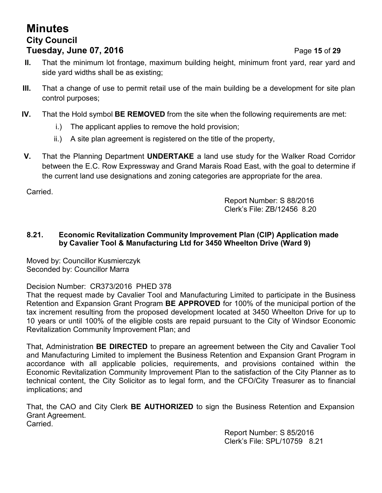# **Minutes City Council Tuesday, June 07, 2016 Page 15 of 29**

- **II.** That the minimum lot frontage, maximum building height, minimum front yard, rear yard and side yard widths shall be as existing;
- **III.** That a change of use to permit retail use of the main building be a development for site plan control purposes;
- **IV.** That the Hold symbol **BE REMOVED** from the site when the following requirements are met:
	- i.) The applicant applies to remove the hold provision;
	- ii.) A site plan agreement is registered on the title of the property,
- **V.** That the Planning Department **UNDERTAKE** a land use study for the Walker Road Corridor between the E.C. Row Expressway and Grand Marais Road East, with the goal to determine if the current land use designations and zoning categories are appropriate for the area.

Carried.

Report Number: S 88/2016 Clerk's File: ZB/12456 8.20

#### **8.21. Economic Revitalization Community Improvement Plan (CIP) Application made by Cavalier Tool & Manufacturing Ltd for 3450 Wheelton Drive (Ward 9)**

Moved by: Councillor Kusmierczyk Seconded by: Councillor Marra

Decision Number: CR373/2016 PHED 378

That the request made by Cavalier Tool and Manufacturing Limited to participate in the Business Retention and Expansion Grant Program **BE APPROVED** for 100% of the municipal portion of the tax increment resulting from the proposed development located at 3450 Wheelton Drive for up to 10 years or until 100% of the eligible costs are repaid pursuant to the City of Windsor Economic Revitalization Community Improvement Plan; and

That, Administration **BE DIRECTED** to prepare an agreement between the City and Cavalier Tool and Manufacturing Limited to implement the Business Retention and Expansion Grant Program in accordance with all applicable policies, requirements, and provisions contained within the Economic Revitalization Community Improvement Plan to the satisfaction of the City Planner as to technical content, the City Solicitor as to legal form, and the CFO/City Treasurer as to financial implications; and

That, the CAO and City Clerk **BE AUTHORIZED** to sign the Business Retention and Expansion Grant Agreement. Carried.

> Report Number: S 85/2016 Clerk's File: SPL/10759 8.21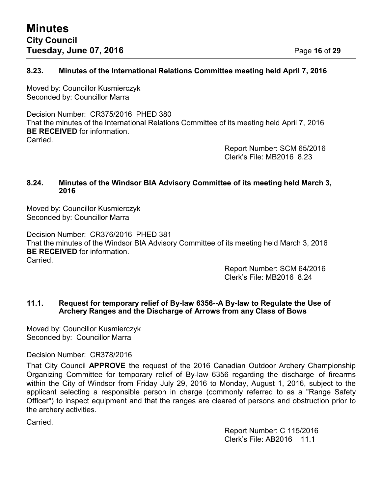#### **8.23. Minutes of the International Relations Committee meeting held April 7, 2016**

Moved by: Councillor Kusmierczyk Seconded by: Councillor Marra

Decision Number: CR375/2016 PHED 380 That the minutes of the International Relations Committee of its meeting held April 7, 2016 **BE RECEIVED** for information. **Carried** 

Report Number: SCM 65/2016 Clerk's File: MB2016 8.23

#### **8.24. Minutes of the Windsor BIA Advisory Committee of its meeting held March 3, 2016**

Moved by: Councillor Kusmierczyk Seconded by: Councillor Marra

Decision Number: CR376/2016 PHED 381 That the minutes of the Windsor BIA Advisory Committee of its meeting held March 3, 2016 **BE RECEIVED** for information. Carried.

> Report Number: SCM 64/2016 Clerk's File: MB2016 8.24

#### **11.1. Request for temporary relief of By-law 6356--A By-law to Regulate the Use of Archery Ranges and the Discharge of Arrows from any Class of Bows**

Moved by: Councillor Kusmierczyk Seconded by: Councillor Marra

Decision Number: CR378/2016

That City Council **APPROVE** the request of the 2016 Canadian Outdoor Archery Championship Organizing Committee for temporary relief of By-law 6356 regarding the discharge of firearms within the City of Windsor from Friday July 29, 2016 to Monday, August 1, 2016, subject to the applicant selecting a responsible person in charge (commonly referred to as a "Range Safety Officer") to inspect equipment and that the ranges are cleared of persons and obstruction prior to the archery activities.

Carried.

Report Number: C 115/2016 Clerk's File: AB2016 11.1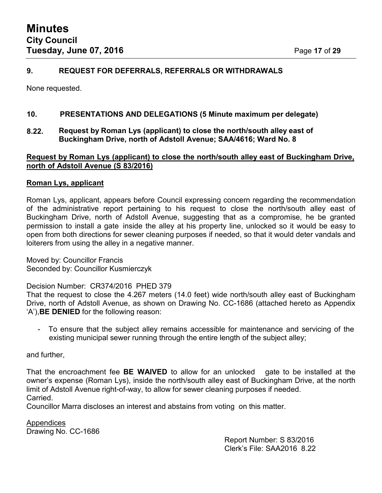#### **9. REQUEST FOR DEFERRALS, REFERRALS OR WITHDRAWALS**

None requested.

#### **10. PRESENTATIONS AND DELEGATIONS (5 Minute maximum per delegate)**

**8.22. Request by Roman Lys (applicant) to close the north/south alley east of Buckingham Drive, north of Adstoll Avenue; SAA/4616; Ward No. 8**

#### **Request by Roman Lys (applicant) to close the north/south alley east of Buckingham Drive, north of Adstoll Avenue (S 83/2016)**

#### **Roman Lys, applicant**

Roman Lys, applicant, appears before Council expressing concern regarding the recommendation of the administrative report pertaining to his request to close the north/south alley east of Buckingham Drive, north of Adstoll Avenue, suggesting that as a compromise, he be granted permission to install a gate inside the alley at his property line, unlocked so it would be easy to open from both directions for sewer cleaning purposes if needed, so that it would deter vandals and loiterers from using the alley in a negative manner.

Moved by: Councillor Francis Seconded by: Councillor Kusmierczyk

Decision Number: CR374/2016 PHED 379

That the request to close the 4.267 meters (14.0 feet) wide north/south alley east of Buckingham Drive, north of Adstoll Avenue, as shown on Drawing No. CC-1686 (attached hereto as Appendix 'A'),**BE DENIED** for the following reason:

- To ensure that the subject alley remains accessible for maintenance and servicing of the existing municipal sewer running through the entire length of the subject alley;

#### and further,

That the encroachment fee **BE WAIVED** to allow for an unlocked gate to be installed at the owner's expense (Roman Lys), inside the north/south alley east of Buckingham Drive, at the north limit of Adstoll Avenue right-of-way, to allow for sewer cleaning purposes if needed. Carried.

Councillor Marra discloses an interest and abstains from voting on this matter.

Appendices Drawing No. CC-1686

Report Number: S 83/2016 Clerk's File: SAA2016 8.22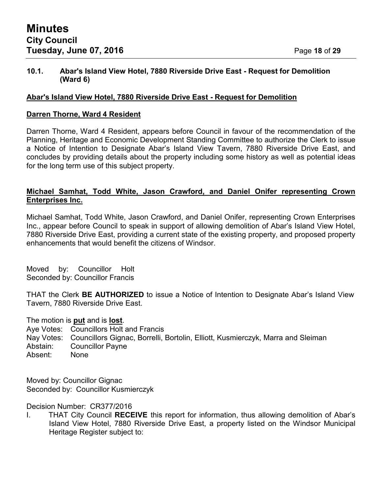#### **10.1. Abar's Island View Hotel, 7880 Riverside Drive East - Request for Demolition (Ward 6)**

#### **Abar's Island View Hotel, 7880 Riverside Drive East - Request for Demolition**

#### **Darren Thorne, Ward 4 Resident**

Darren Thorne, Ward 4 Resident, appears before Council in favour of the recommendation of the Planning, Heritage and Economic Development Standing Committee to authorize the Clerk to issue a Notice of Intention to Designate Abar's Island View Tavern, 7880 Riverside Drive East, and concludes by providing details about the property including some history as well as potential ideas for the long term use of this subject property.

#### **Michael Samhat, Todd White, Jason Crawford, and Daniel Onifer representing Crown Enterprises Inc.**

Michael Samhat, Todd White, Jason Crawford, and Daniel Onifer, representing Crown Enterprises Inc., appear before Council to speak in support of allowing demolition of Abar's Island View Hotel, 7880 Riverside Drive East, providing a current state of the existing property, and proposed property enhancements that would benefit the citizens of Windsor.

Moved by: Councillor Holt Seconded by: Councillor Francis

THAT the Clerk **BE AUTHORIZED** to issue a Notice of Intention to Designate Abar's Island View Tavern, 7880 Riverside Drive East.

The motion is **put** and is **lost**.

Aye Votes: Councillors Holt and Francis

- Nay Votes: Councillors Gignac, Borrelli, Bortolin, Elliott, Kusmierczyk, Marra and Sleiman
- Abstain: Councillor Payne
- Absent: None

Moved by: Councillor Gignac Seconded by: Councillor Kusmierczyk

Decision Number: CR377/2016

I. THAT City Council **RECEIVE** this report for information, thus allowing demolition of Abar's Island View Hotel, 7880 Riverside Drive East, a property listed on the Windsor Municipal Heritage Register subject to: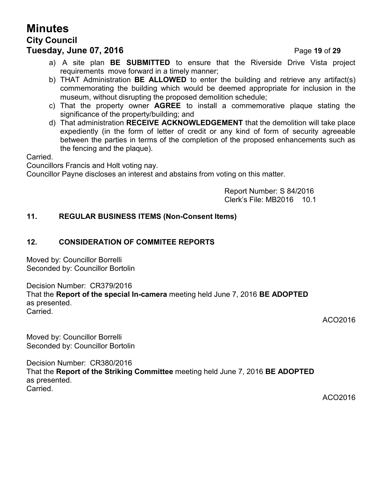# **Minutes City Council**

## **Tuesday, June 07, 2016** Page **19** of **29**

- a) A site plan **BE SUBMITTED** to ensure that the Riverside Drive Vista project requirements move forward in a timely manner;
- b) THAT Administration **BE ALLOWED** to enter the building and retrieve any artifact(s) commemorating the building which would be deemed appropriate for inclusion in the museum, without disrupting the proposed demolition schedule;
- c) That the property owner **AGREE** to install a commemorative plaque stating the significance of the property/building; and
- d) That administration **RECEIVE ACKNOWLEDGEMENT** that the demolition will take place expediently (in the form of letter of credit or any kind of form of security agreeable between the parties in terms of the completion of the proposed enhancements such as the fencing and the plaque).

Carried.

Councillors Francis and Holt voting nay.

Councillor Payne discloses an interest and abstains from voting on this matter.

Report Number: S 84/2016 Clerk's File: MB2016 10.1

#### **11. REGULAR BUSINESS ITEMS (Non-Consent Items)**

#### **12. CONSIDERATION OF COMMITEE REPORTS**

Moved by: Councillor Borrelli Seconded by: Councillor Bortolin

Decision Number: CR379/2016 That the **Report of the special In-camera** meeting held June 7, 2016 **BE ADOPTED** as presented. Carried.

ACO2016

Moved by: Councillor Borrelli Seconded by: Councillor Bortolin

Decision Number: CR380/2016 That the **Report of the Striking Committee** meeting held June 7, 2016 **BE ADOPTED** as presented. **Carried** 

ACO2016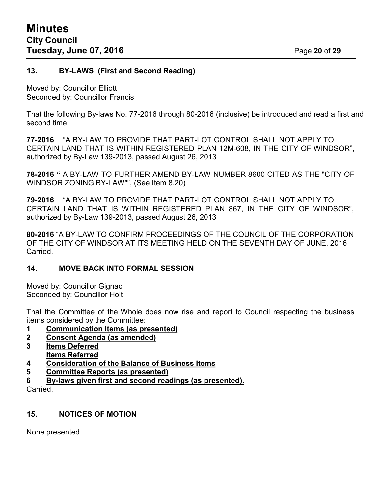#### **13. BY-LAWS (First and Second Reading)**

Moved by: Councillor Elliott Seconded by: Councillor Francis

That the following By-laws No. 77-2016 through 80-2016 (inclusive) be introduced and read a first and second time:

**77-2016** "A BY-LAW TO PROVIDE THAT PART-LOT CONTROL SHALL NOT APPLY TO CERTAIN LAND THAT IS WITHIN REGISTERED PLAN 12M-608, IN THE CITY OF WINDSOR", authorized by By-Law 139-2013, passed August 26, 2013

**78-2016 "** A BY-LAW TO FURTHER AMEND BY-LAW NUMBER 8600 CITED AS THE "CITY OF WINDSOR ZONING BY-LAW"", (See Item 8.20)

**79-2016** "A BY-LAW TO PROVIDE THAT PART-LOT CONTROL SHALL NOT APPLY TO CERTAIN LAND THAT IS WITHIN REGISTERED PLAN 867, IN THE CITY OF WINDSOR", authorized by By-Law 139-2013, passed August 26, 2013

**80-2016** "A BY-LAW TO CONFIRM PROCEEDINGS OF THE COUNCIL OF THE CORPORATION OF THE CITY OF WINDSOR AT ITS MEETING HELD ON THE SEVENTH DAY OF JUNE, 2016 Carried.

#### **14. MOVE BACK INTO FORMAL SESSION**

Moved by: Councillor Gignac Seconded by: Councillor Holt

That the Committee of the Whole does now rise and report to Council respecting the business items considered by the Committee:

- **1 Communication Items (as presented)**
- **2 Consent Agenda (as amended)**
- **3 Items Deferred Items Referred**
- **4 Consideration of the Balance of Business Items**
- **5 Committee Reports (as presented)**
- **6 By-laws given first and second readings (as presented).**

Carried.

#### **15. NOTICES OF MOTION**

None presented.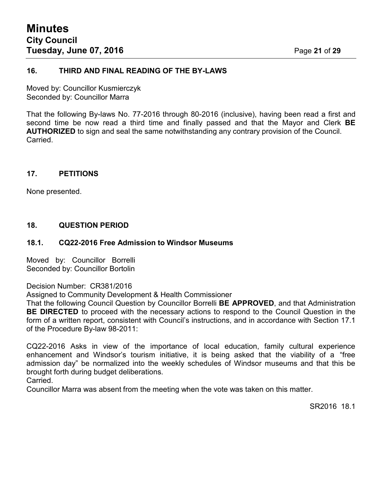#### **16. THIRD AND FINAL READING OF THE BY-LAWS**

Moved by: Councillor Kusmierczyk Seconded by: Councillor Marra

That the following By-laws No. 77-2016 through 80-2016 (inclusive), having been read a first and second time be now read a third time and finally passed and that the Mayor and Clerk **BE AUTHORIZED** to sign and seal the same notwithstanding any contrary provision of the Council. **Carried** 

#### **17. PETITIONS**

None presented.

#### **18. QUESTION PERIOD**

#### **18.1. CQ22-2016 Free Admission to Windsor Museums**

Moved by: Councillor Borrelli Seconded by: Councillor Bortolin

Decision Number: CR381/2016

Assigned to Community Development & Health Commissioner

That the following Council Question by Councillor Borrelli **BE APPROVED**, and that Administration **BE DIRECTED** to proceed with the necessary actions to respond to the Council Question in the form of a written report, consistent with Council's instructions, and in accordance with Section 17.1 of the Procedure By-law 98-2011:

CQ22-2016 Asks in view of the importance of local education, family cultural experience enhancement and Windsor's tourism initiative, it is being asked that the viability of a "free admission day" be normalized into the weekly schedules of Windsor museums and that this be brought forth during budget deliberations.

Carried.

Councillor Marra was absent from the meeting when the vote was taken on this matter.

SR2016 18.1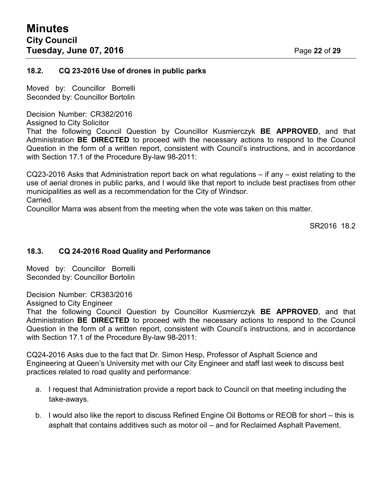#### **18.2. CQ 23-2016 Use of drones in public parks**

Moved by: Councillor Borrelli Seconded by: Councillor Bortolin

Decision Number: CR382/2016

Assigned to City Solicitor

That the following Council Question by Councillor Kusmierczyk **BE APPROVED**, and that Administration **BE DIRECTED** to proceed with the necessary actions to respond to the Council Question in the form of a written report, consistent with Council's instructions, and in accordance with Section 17.1 of the Procedure By-law 98-2011:

CQ23-2016 Asks that Administration report back on what regulations – if any – exist relating to the use of aerial drones in public parks, and I would like that report to include best practises from other municipalities as well as a recommendation for the City of Windsor. Carried.

Councillor Marra was absent from the meeting when the vote was taken on this matter.

SR<sub>2016</sub> 18.2

#### **18.3. CQ 24-2016 Road Quality and Performance**

Moved by: Councillor Borrelli Seconded by: Councillor Bortolin

Decision Number: CR383/2016

Assigned to City Engineer

That the following Council Question by Councillor Kusmierczyk **BE APPROVED**, and that Administration **BE DIRECTED** to proceed with the necessary actions to respond to the Council Question in the form of a written report, consistent with Council's instructions, and in accordance with Section 17.1 of the Procedure By-law 98-2011:

CQ24-2016 Asks due to the fact that Dr. Simon Hesp, Professor of Asphalt Science and Engineering at Queen's University met with our City Engineer and staff last week to discuss best practices related to road quality and performance:

- a. I request that Administration provide a report back to Council on that meeting including the take-aways.
- b. I would also like the report to discuss Refined Engine Oil Bottoms or REOB for short this is asphalt that contains additives such as motor oil – and for Reclaimed Asphalt Pavement.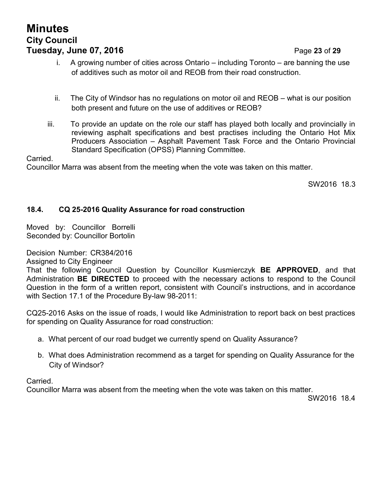# **Minutes City Council Tuesday, June 07, 2016 Page 23 of 29**

i. A growing number of cities across Ontario – including Toronto – are banning the use of additives such as motor oil and REOB from their road construction.

- ii. The City of Windsor has no regulations on motor oil and REOB what is our position both present and future on the use of additives or REOB?
- iii. To provide an update on the role our staff has played both locally and provincially in reviewing asphalt specifications and best practises including the Ontario Hot Mix Producers Association – Asphalt Pavement Task Force and the Ontario Provincial Standard Specification (OPSS) Planning Committee.

Carried.

Councillor Marra was absent from the meeting when the vote was taken on this matter.

SW2016 18.3

### **18.4. CQ 25-2016 Quality Assurance for road construction**

Moved by: Councillor Borrelli Seconded by: Councillor Bortolin

Decision Number: CR384/2016

Assigned to City Engineer

That the following Council Question by Councillor Kusmierczyk **BE APPROVED**, and that Administration **BE DIRECTED** to proceed with the necessary actions to respond to the Council Question in the form of a written report, consistent with Council's instructions, and in accordance with Section 17.1 of the Procedure By-law 98-2011:

CQ25-2016 Asks on the issue of roads, I would like Administration to report back on best practices for spending on Quality Assurance for road construction:

- a. What percent of our road budget we currently spend on Quality Assurance?
- b. What does Administration recommend as a target for spending on Quality Assurance for the City of Windsor?

Carried.

Councillor Marra was absent from the meeting when the vote was taken on this matter.

SW2016 18.4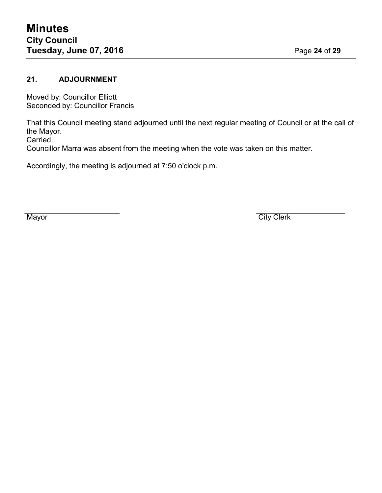### **21. ADJOURNMENT**

Moved by: Councillor Elliott Seconded by: Councillor Francis

That this Council meeting stand adjourned until the next regular meeting of Council or at the call of the Mayor.

Carried.

Councillor Marra was absent from the meeting when the vote was taken on this matter.

Accordingly, the meeting is adjourned at 7:50 o'clock p.m.

Mayor City Clerk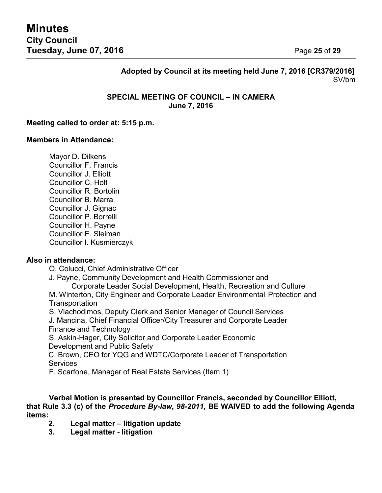### **Adopted by Council at its meeting held June 7, 2016 [CR379/2016]** SV/bm

#### **SPECIAL MEETING OF COUNCIL – IN CAMERA June 7, 2016**

#### **Meeting called to order at: 5:15 p.m.**

#### **Members in Attendance:**

Mayor D. Dilkens Councillor F. Francis Councillor J. Elliott Councillor C. Holt Councillor R. Bortolin Councillor B. Marra Councillor J. Gignac Councillor P. Borrelli Councillor H. Payne Councillor E. Sleiman Councillor I. Kusmierczyk

#### **Also in attendance:**

O. Colucci, Chief Administrative Officer

J. Payne, Community Development and Health Commissioner and

Corporate Leader Social Development, Health, Recreation and Culture

M. Winterton, City Engineer and Corporate Leader Environmental Protection and **Transportation** 

S. Vlachodimos, Deputy Clerk and Senior Manager of Council Services

J. Mancina, Chief Financial Officer/City Treasurer and Corporate Leader Finance and Technology

S. Askin-Hager, City Solicitor and Corporate Leader Economic Development and Public Safety

C. Brown, CEO for YQG and WDTC/Corporate Leader of Transportation **Services** 

F. Scarfone, Manager of Real Estate Services (Item 1)

**Verbal Motion is presented by Councillor Francis, seconded by Councillor Elliott, that Rule 3.3 (c) of the** *Procedure By-law, 98-2011,* **BE WAIVED to add the following Agenda items:**

- **2. Legal matter – litigation update**
- **3. Legal matter - litigation**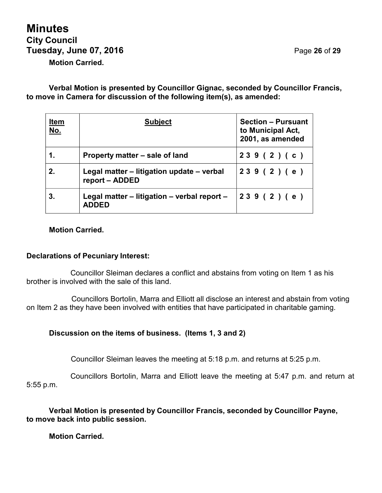# **Minutes City Council Tuesday, June 07, 2016** Page **26** of **29 Motion Carried.**

**Verbal Motion is presented by Councillor Gignac, seconded by Councillor Francis, to move in Camera for discussion of the following item(s), as amended:**

| <u>Item</u><br><u>No.</u> | <b>Subject</b>                                              | <b>Section - Pursuant</b><br>to Municipal Act,<br>2001, as amended |
|---------------------------|-------------------------------------------------------------|--------------------------------------------------------------------|
|                           | Property matter – sale of land                              | 239(2)(c)                                                          |
| 2.                        | Legal matter – litigation update – verbal<br>report - ADDED | 239(2)(e)                                                          |
| 3.                        | Legal matter – litigation – verbal report –<br><b>ADDED</b> | 239(2)(e)                                                          |

#### **Motion Carried.**

#### **Declarations of Pecuniary Interest:**

Councillor Sleiman declares a conflict and abstains from voting on Item 1 as his brother is involved with the sale of this land.

Councillors Bortolin, Marra and Elliott all disclose an interest and abstain from voting on Item 2 as they have been involved with entities that have participated in charitable gaming.

#### **Discussion on the items of business. (Items 1, 3 and 2)**

Councillor Sleiman leaves the meeting at 5:18 p.m. and returns at 5:25 p.m.

Councillors Bortolin, Marra and Elliott leave the meeting at 5:47 p.m. and return at 5:55 p.m.

**Verbal Motion is presented by Councillor Francis, seconded by Councillor Payne, to move back into public session.**

**Motion Carried.**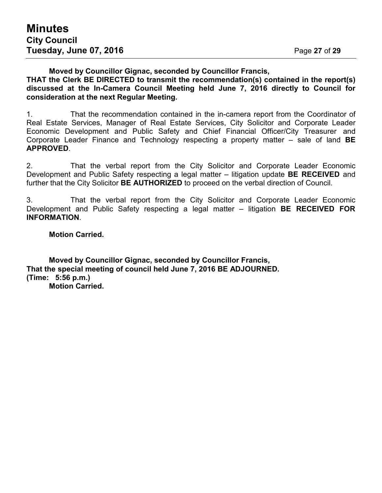#### **Moved by Councillor Gignac, seconded by Councillor Francis, THAT the Clerk BE DIRECTED to transmit the recommendation(s) contained in the report(s) discussed at the In-Camera Council Meeting held June 7, 2016 directly to Council for consideration at the next Regular Meeting.**

1. That the recommendation contained in the in-camera report from the Coordinator of Real Estate Services, Manager of Real Estate Services, City Solicitor and Corporate Leader Economic Development and Public Safety and Chief Financial Officer/City Treasurer and Corporate Leader Finance and Technology respecting a property matter – sale of land **BE APPROVED**.

2. That the verbal report from the City Solicitor and Corporate Leader Economic Development and Public Safety respecting a legal matter – litigation update **BE RECEIVED** and further that the City Solicitor **BE AUTHORIZED** to proceed on the verbal direction of Council.

3. That the verbal report from the City Solicitor and Corporate Leader Economic Development and Public Safety respecting a legal matter – litigation **BE RECEIVED FOR INFORMATION**.

#### **Motion Carried.**

**Moved by Councillor Gignac, seconded by Councillor Francis, That the special meeting of council held June 7, 2016 BE ADJOURNED. (Time: 5:56 p.m.) Motion Carried.**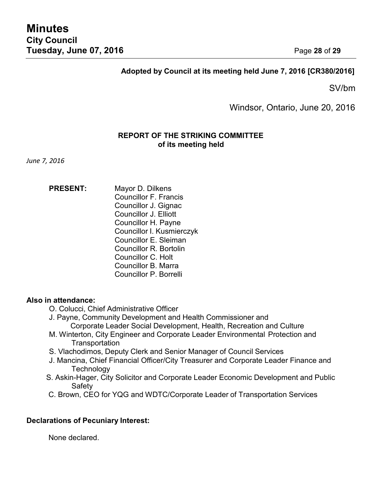#### **Adopted by Council at its meeting held June 7, 2016 [CR380/2016]**

SV/bm

Windsor, Ontario, June 20, 2016

#### **REPORT OF THE STRIKING COMMITTEE of its meeting held**

*June 7, 2016*

**PRESENT:** Mayor D. Dilkens Councillor F. Francis Councillor J. Gignac Councillor J. Elliott Councillor H. Payne Councillor I. Kusmierczyk Councillor E. Sleiman Councillor R. Bortolin Councillor C. Holt Councillor B. Marra Councillor P. Borrelli

#### **Also in attendance:**

- O. Colucci, Chief Administrative Officer
- J. Payne, Community Development and Health Commissioner and Corporate Leader Social Development, Health, Recreation and Culture
- M. Winterton, City Engineer and Corporate Leader Environmental Protection and **Transportation**
- S. Vlachodimos, Deputy Clerk and Senior Manager of Council Services
- J. Mancina, Chief Financial Officer/City Treasurer and Corporate Leader Finance and **Technology**
- S. Askin-Hager, City Solicitor and Corporate Leader Economic Development and Public **Safety**
- C. Brown, CEO for YQG and WDTC/Corporate Leader of Transportation Services

#### **Declarations of Pecuniary Interest:**

None declared.